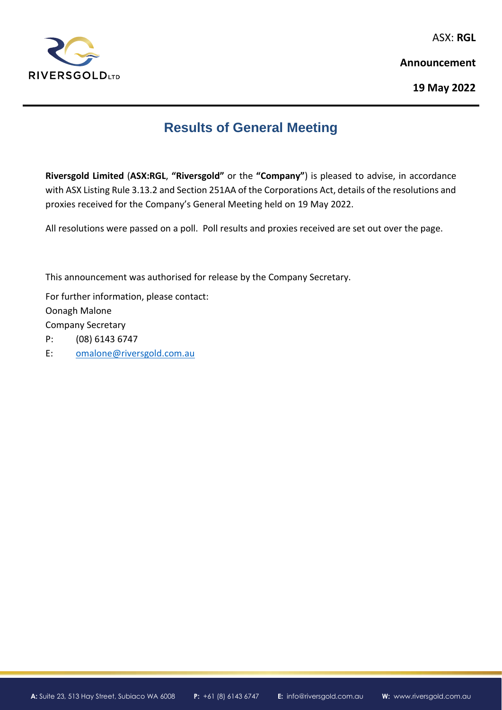

ASX: **RGL**

**Announcement**

**19 May 2022**

## **Results of General Meeting**

**Riversgold Limited** (**ASX:RGL**, **"Riversgold"** or the **"Company"**) is pleased to advise, in accordance with ASX Listing Rule 3.13.2 and Section 251AA of the Corporations Act, details of the resolutions and proxies received for the Company's General Meeting held on 19 May 2022.

All resolutions were passed on a poll. Poll results and proxies received are set out over the page.

This announcement was authorised for release by the Company Secretary.

For further information, please contact: Oonagh Malone Company Secretary

P: (08) 6143 6747

E: [omalone@riversgold.com.au](mailto:omalone@riversgold.com.au)